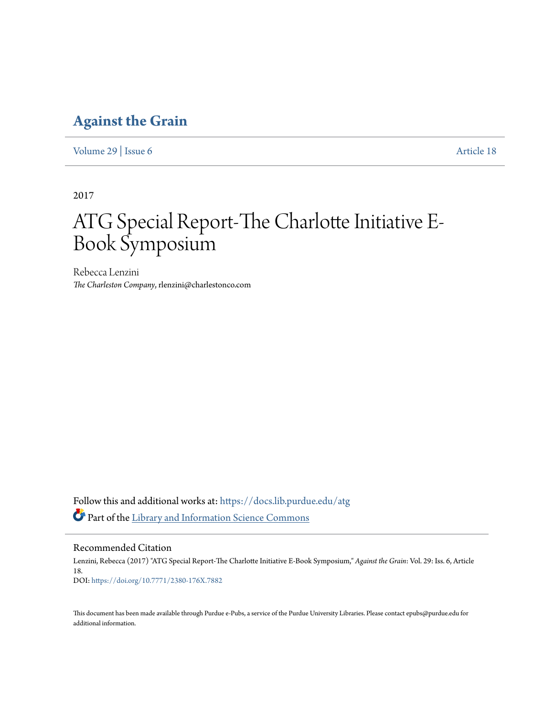### **[Against the Grain](https://docs.lib.purdue.edu/atg?utm_source=docs.lib.purdue.edu%2Fatg%2Fvol29%2Fiss6%2F18&utm_medium=PDF&utm_campaign=PDFCoverPages)**

[Volume 29](https://docs.lib.purdue.edu/atg/vol29?utm_source=docs.lib.purdue.edu%2Fatg%2Fvol29%2Fiss6%2F18&utm_medium=PDF&utm_campaign=PDFCoverPages) | [Issue 6](https://docs.lib.purdue.edu/atg/vol29/iss6?utm_source=docs.lib.purdue.edu%2Fatg%2Fvol29%2Fiss6%2F18&utm_medium=PDF&utm_campaign=PDFCoverPages) [Article 18](https://docs.lib.purdue.edu/atg/vol29/iss6/18?utm_source=docs.lib.purdue.edu%2Fatg%2Fvol29%2Fiss6%2F18&utm_medium=PDF&utm_campaign=PDFCoverPages)

2017

# ATG Special Report-The Charlotte Initiative E-Book Symposium

Rebecca Lenzini *The Charleston Company*, rlenzini@charlestonco.com

Follow this and additional works at: [https://docs.lib.purdue.edu/atg](https://docs.lib.purdue.edu/atg?utm_source=docs.lib.purdue.edu%2Fatg%2Fvol29%2Fiss6%2F18&utm_medium=PDF&utm_campaign=PDFCoverPages) Part of the [Library and Information Science Commons](http://network.bepress.com/hgg/discipline/1018?utm_source=docs.lib.purdue.edu%2Fatg%2Fvol29%2Fiss6%2F18&utm_medium=PDF&utm_campaign=PDFCoverPages)

Recommended Citation

Lenzini, Rebecca (2017) "ATG Special Report-The Charlotte Initiative E-Book Symposium," *Against the Grain*: Vol. 29: Iss. 6, Article 18. DOI: <https://doi.org/10.7771/2380-176X.7882>

This document has been made available through Purdue e-Pubs, a service of the Purdue University Libraries. Please contact epubs@purdue.edu for additional information.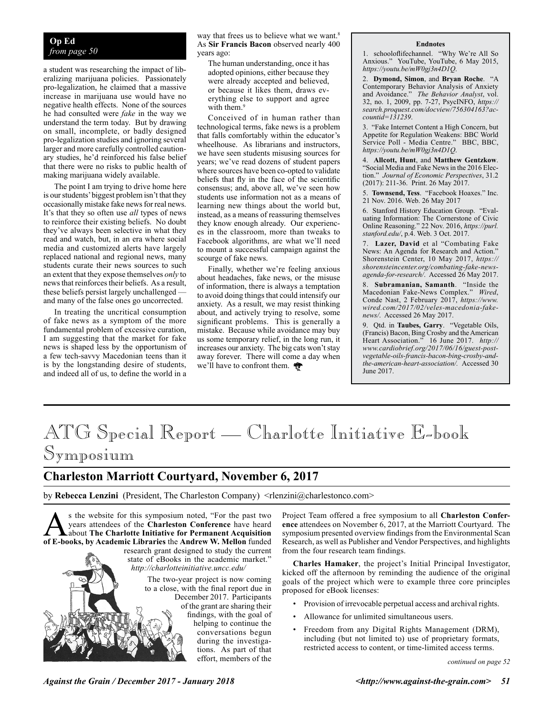#### **Op Ed** *from page 50*

a student was researching the impact of liberalizing marijuana policies. Passionately pro-legalization, he claimed that a massive increase in marijuana use would have no negative health effects. None of the sources he had consulted were *fake* in the way we understand the term today. But by drawing on small, incomplete, or badly designed pro-legalization studies and ignoring several larger and more carefully controlled cautionary studies, he'd reinforced his false belief that there were no risks to public health of making marijuana widely available.

The point I am trying to drive home here is our students' biggest problem isn't that they occasionally mistake fake news for real news. It's that they so often use *all* types of news to reinforce their existing beliefs. No doubt they've always been selective in what they read and watch, but, in an era where social media and customized alerts have largely replaced national and regional news, many students curate their news sources to such an extent that they expose themselves *only* to news that reinforces their beliefs. As a result, these beliefs persist largely unchallenged and many of the false ones go uncorrected.

In treating the uncritical consumption of fake news as a symptom of the more fundamental problem of excessive curation, I am suggesting that the market for fake news is shaped less by the opportunism of a few tech-savvy Macedonian teens than it is by the longstanding desire of students, and indeed all of us, to define the world in a

way that frees us to believe what we want.<sup>8</sup> As **Sir Francis Bacon** observed nearly 400 years ago:

The human understanding, once it has adopted opinions, either because they were already accepted and believed, or because it likes them, draws everything else to support and agree with them.<sup>9</sup>

Conceived of in human rather than technological terms, fake news is a problem that falls comfortably within the educator's wheelhouse. As librarians and instructors, we have seen students misusing sources for years; we've read dozens of student papers where sources have been co-opted to validate beliefs that fly in the face of the scientific consensus; and, above all, we've seen how students use information not as a means of learning new things about the world but, instead, as a means of reassuring themselves they know enough already. Our experiences in the classroom, more than tweaks to Facebook algorithms, are what we'll need to mount a successful campaign against the scourge of fake news.

Finally, whether we're feeling anxious about headaches, fake news, or the misuse of information, there is always a temptation to avoid doing things that could intensify our anxiety. As a result, we may resist thinking about, and actively trying to resolve, some significant problems. This is generally a mistake. Because while avoidance may buy us some temporary relief, in the long run, it increases our anxiety. The big cats won't stay away forever. There will come a day when we'll have to confront them.

#### **Endnotes**

1. schooloflifechannel. "Why We're All So Anxious." YouTube, YouTube, 6 May 2015, *https://youtu.be/mW0gj3n4D1Q*.

2. **Dymond, Simon**, and **Bryan Roche**. "A Contemporary Behavior Analysis of Anxiety and Avoidance." *The Behavior Analyst*, vol. 32, no. 1, 2009, pp. 7-27, PsycINFO, *https:// search.proquest.com/docview/756304163?accountid=131239*.

3. "Fake Internet Content a High Concern, but Appetite for Regulation Weakens: BBC World Service Poll - Media Centre." BBC, BBC, *https://youtu.be/mW0gj3n4D1Q*.

4. **Allcott, Hunt**, and **Matthew Gentzkow**. "Social Media and Fake News in the 2016 Election." *Journal of Economic Perspectives*, 31.2 (2017): 211-36. Print. 26 May 2017.

5. **Townsend, Tess**. "Facebook Hoaxes." Inc. 21 Nov. 2016. Web. 26 May 2017

6. Stanford History Education Group. "Evaluating Information: The Cornerstone of Civic Online Reasoning." 22 Nov. 2016, *https://purl. stanford.edu/*, p.4. Web. 3 Oct. 2017.

Lazer, David et al "Combating Fake News: An Agenda for Research and Action." Shorenstein Center, 10 May 2017, *https:// shorensteincenter.org/combating-fake-newsagenda-for-research/*. Accessed 26 May 2017.

8. **Subramanian, Samanth**. "Inside the Macedonian Fake-News Complex." *Wired*, Conde Nast, 2 February 2017, *https://www. wired.com/2017/02/veles-macedonia-fakenews/*. Accessed 26 May 2017.

9. Qtd. in **Taubes, Garry**. "Vegetable Oils, (Francis) Bacon, Bing Crosby and the American Heart Association." 16 June 2017. *http:// www.cardiobrief.org/2017/06/16/guest-postvegetable-oils-francis-bacon-bing-crosby-andthe-american-heart-association/.* Accessed 30 June 2017.

## ATG Special Report — Charlotte Initiative E-book Symposium

### **Charleston Marriott Courtyard, November 6, 2017**

by Rebecca Lenzini (President, The Charleston Company) <rlenzini@charlestonco.com>

s the website for this symposium noted, "For the past two years attendees of the Charleston Conference have heard<br>about The Charlotte Initiative for Permanent Acquisition<br>of E-books, by Academic Libraries the Andrew W. Mel years attendees of the **Charleston Conference** have heard **of E-books, by Academic Libraries** the **Andrew W. Mellon** funded research grant designed to study the current state of eBooks in the academic market." *http://charlotteinitiative.uncc.edu/*

The two-year project is now coming to a close, with the final report due in December 2017. Participants of the grant are sharing their findings, with the goal of helping to continue the conversations begun during the investigations. As part of that effort, members of the

Project Team offered a free symposium to all **Charleston Conference** attendees on November 6, 2017, at the Marriott Courtyard. The symposium presented overview findings from the Environmental Scan Research, as well as Publisher and Vendor Perspectives, and highlights from the four research team findings.

**Charles Hamaker**, the project's Initial Principal Investigator, kicked off the afternoon by reminding the audience of the original goals of the project which were to example three core principles proposed for eBook licenses:

• Provision of irrevocable perpetual access and archival rights.

- Allowance for unlimited simultaneous users.
- Freedom from any Digital Rights Management (DRM), including (but not limited to) use of proprietary formats, restricted access to content, or time-limited access terms.

*continued on page 52*

*Against the Grain / December 2017 - January 2018 <http://www.against-the-grain.com> 51*